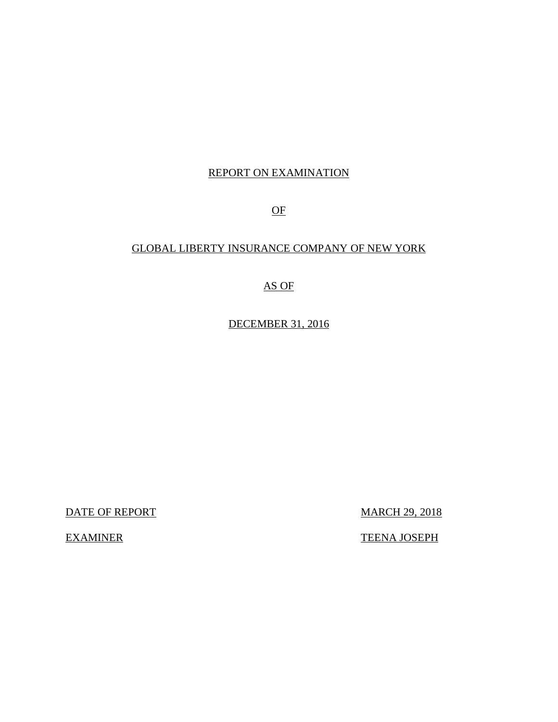## REPORT ON EXAMINATION

OF

## GLOBAL LIBERTY INSURANCE COMPANY OF NEW YORK

## AS OF

DECEMBER 31, 2016

DATE OF REPORT MARCH 29, 2018

EXAMINER TEENA JOSEPH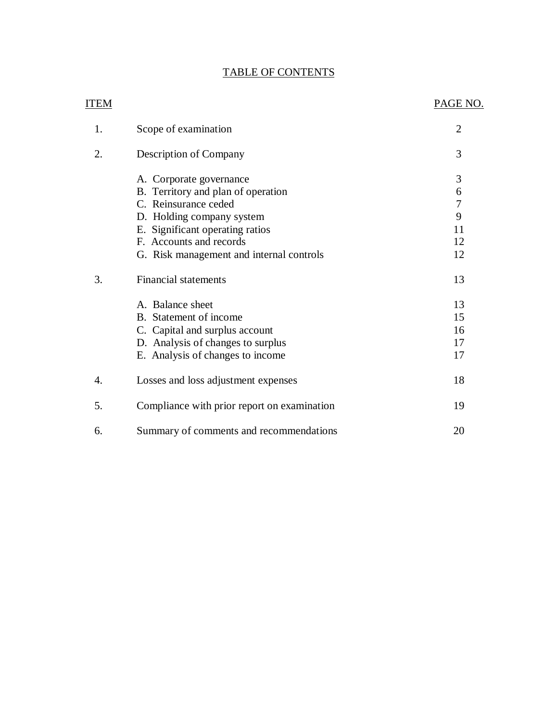## TABLE OF CONTENTS

| <b>ITEM</b> |                                             | PAGE NO.       |
|-------------|---------------------------------------------|----------------|
| 1.          | Scope of examination                        | $\overline{2}$ |
| 2.          | Description of Company                      | 3              |
|             | A. Corporate governance                     | $\mathfrak{Z}$ |
|             | B. Territory and plan of operation          | 6              |
|             | C. Reinsurance ceded                        | $\overline{7}$ |
|             | D. Holding company system                   | 9              |
|             | E. Significant operating ratios             | 11             |
|             | F. Accounts and records                     | 12             |
|             | G. Risk management and internal controls    | 12             |
| 3.          | <b>Financial statements</b>                 | 13             |
|             | A. Balance sheet                            | 13             |
|             | B. Statement of income                      | 15             |
|             | C. Capital and surplus account              | 16             |
|             | D. Analysis of changes to surplus           | 17             |
|             | E. Analysis of changes to income            | 17             |
| 4.          | Losses and loss adjustment expenses         | 18             |
| 5.          | Compliance with prior report on examination | 19             |
| 6.          | Summary of comments and recommendations     | 20             |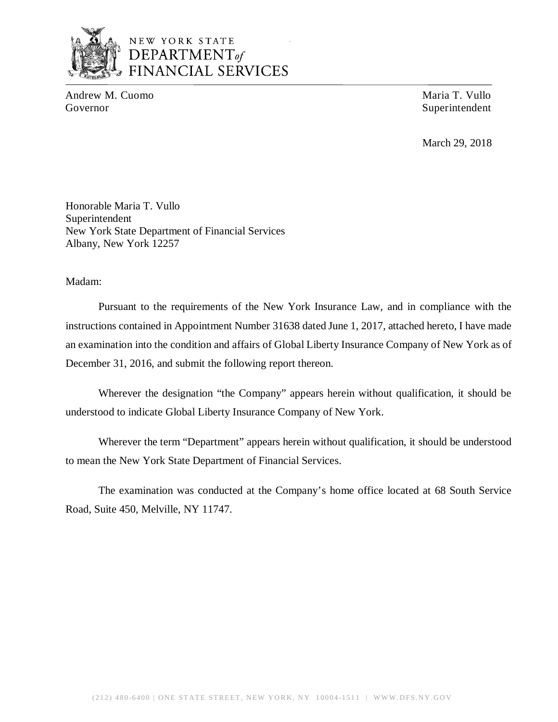

## NEW YORK STATE *DEPARTMENTof*  FINANCIAL SERVICES

Andrew M. Cuomo Maria T. Vullo Governor Superintendent Superintendent

March 29, 2018

Honorable Maria T. Vullo Superintendent New York State Department of Financial Services Albany, New York 12257

Madam:

Pursuant to the requirements of the New York Insurance Law, and in compliance with the instructions contained in Appointment Number 31638 dated June 1, 2017, attached hereto, I have made an examination into the condition and affairs of Global Liberty Insurance Company of New York as of December 31, 2016, and submit the following report thereon.

Wherever the designation "the Company" appears herein without qualification, it should be understood to indicate Global Liberty Insurance Company of New York.

Wherever the term "Department" appears herein without qualification, it should be understood to mean the New York State Department of Financial Services.

The examination was conducted at the Company's home office located at 68 South Service Road, Suite 450, Melville, NY 11747.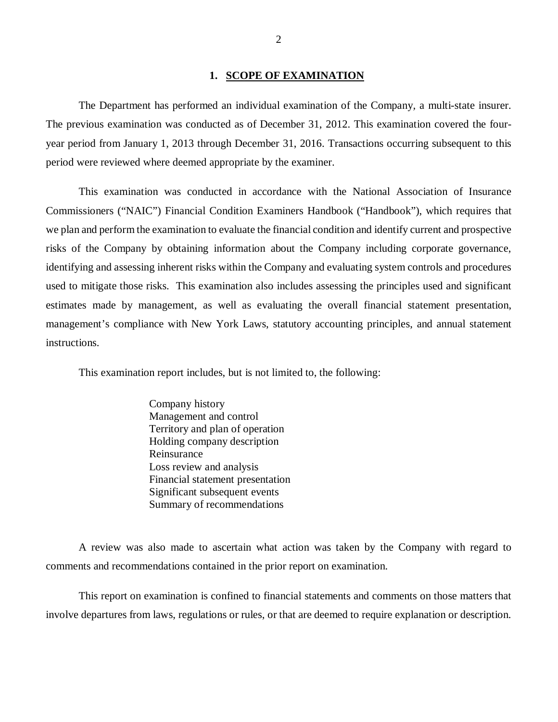#### **1. SCOPE OF EXAMINATION**

The Department has performed an individual examination of the Company*,* a multi-state insurer. The previous examination was conducted as of December 31, 2012. This examination covered the fouryear period from January 1, 2013 through December 31, 2016. Transactions occurring subsequent to this period were reviewed where deemed appropriate by the examiner.

This examination was conducted in accordance with the National Association of Insurance Commissioners ("NAIC") Financial Condition Examiners Handbook ("Handbook"), which requires that we plan and perform the examination to evaluate the financial condition and identify current and prospective risks of the Company by obtaining information about the Company including corporate governance, identifying and assessing inherent risks within the Company and evaluating system controls and procedures used to mitigate those risks. This examination also includes assessing the principles used and significant estimates made by management, as well as evaluating the overall financial statement presentation, management's compliance with New York Laws, statutory accounting principles, and annual statement instructions.

This examination report includes, but is not limited to, the following:

Company history Management and control Territory and plan of operation Holding company description Reinsurance Loss review and analysis Financial statement presentation Significant subsequent events Summary of recommendations

A review was also made to ascertain what action was taken by the Company with regard to comments and recommendations contained in the prior report on examination.

This report on examination is confined to financial statements and comments on those matters that involve departures from laws, regulations or rules, or that are deemed to require explanation or description.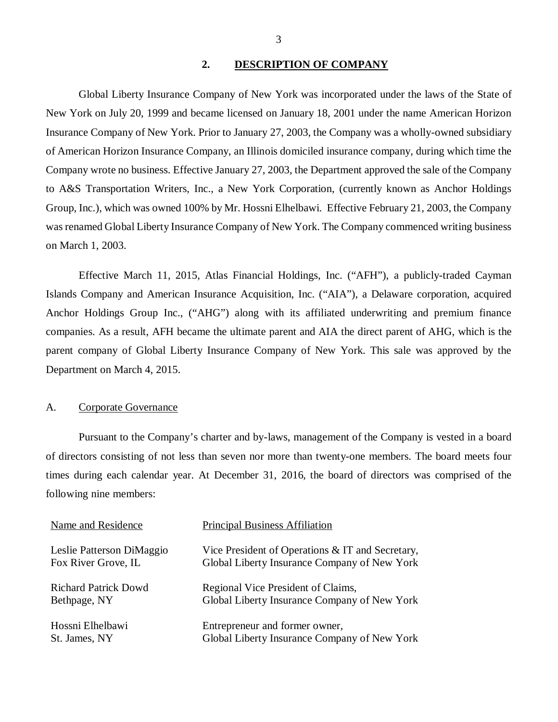## **2. DESCRIPTION OF COMPANY**

<span id="page-4-0"></span>Global Liberty Insurance Company of New York was incorporated under the laws of the State of New York on July 20, 1999 and became licensed on January 18, 2001 under the name American Horizon Insurance Company of New York. Prior to January 27, 2003, the Company was a wholly-owned subsidiary of American Horizon Insurance Company, an Illinois domiciled insurance company, during which time the Company wrote no business. Effective January 27, 2003, the Department approved the sale of the Company to A&S Transportation Writers, Inc., a New York Corporation, (currently known as Anchor Holdings Group, Inc.), which was owned 100% by Mr. Hossni Elhelbawi. Effective February 21, 2003, the Company was renamed Global Liberty Insurance Company of New York. The Company commenced writing business on March 1, 2003.

Effective March 11, 2015, Atlas Financial Holdings, Inc. ("AFH"), a publicly-traded Cayman Islands Company and American Insurance Acquisition, Inc. ("AIA"), a Delaware corporation, acquired Anchor Holdings Group Inc., ("AHG") along with its affiliated underwriting and premium finance companies. As a result, AFH became the ultimate parent and AIA the direct parent of AHG, which is the parent company of Global Liberty Insurance Company of New York. This sale was approved by the Department on March 4, 2015.

## A. Corporate Governance

Pursuant to the Company's charter and by-laws, management of the Company is vested in a board of directors consisting of not less than seven nor more than twenty-one members. The board meets four times during each calendar year. At December 31, 2016, the board of directors was comprised of the following nine members:

| Name and Residence          | <b>Principal Business Affiliation</b>            |
|-----------------------------|--------------------------------------------------|
| Leslie Patterson DiMaggio   | Vice President of Operations & IT and Secretary, |
| Fox River Grove, IL         | Global Liberty Insurance Company of New York     |
| <b>Richard Patrick Dowd</b> | Regional Vice President of Claims,               |
| Bethpage, NY                | Global Liberty Insurance Company of New York     |
| Hossni Elhelbawi            | Entrepreneur and former owner,                   |
| St. James, NY               | Global Liberty Insurance Company of New York     |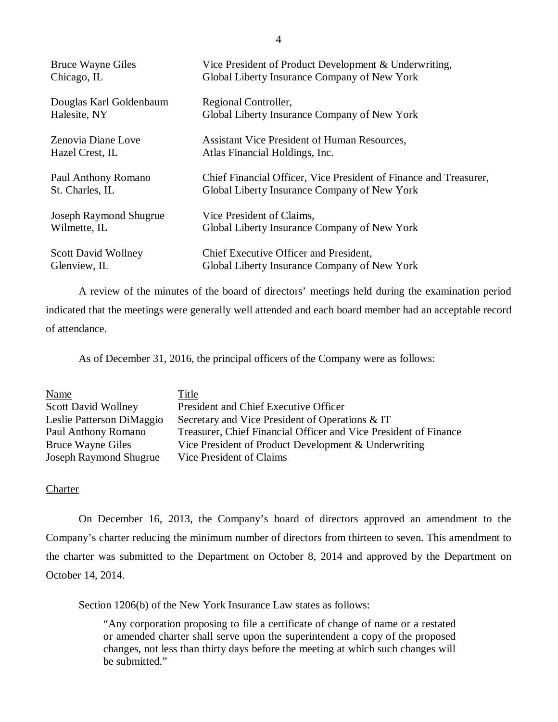| <b>Bruce Wayne Giles</b>   | Vice President of Product Development & Underwriting,             |
|----------------------------|-------------------------------------------------------------------|
| Chicago, IL                | Global Liberty Insurance Company of New York                      |
| Douglas Karl Goldenbaum    | Regional Controller,                                              |
| Halesite, NY               | Global Liberty Insurance Company of New York                      |
| Zenovia Diane Love         | Assistant Vice President of Human Resources,                      |
| Hazel Crest, IL            | Atlas Financial Holdings, Inc.                                    |
| Paul Anthony Romano        | Chief Financial Officer, Vice President of Finance and Treasurer, |
| St. Charles, IL            | Global Liberty Insurance Company of New York                      |
| Joseph Raymond Shugrue     | Vice President of Claims,                                         |
| Wilmette, IL               | Global Liberty Insurance Company of New York                      |
| <b>Scott David Wollney</b> | Chief Executive Officer and President,                            |
| Glenview, IL               | Global Liberty Insurance Company of New York                      |

A review of the minutes of the board of directors' meetings held during the examination period indicated that the meetings were generally well attended and each board member had an acceptable record of attendance.

As of December 31, 2016, the principal officers of the Company were as follows:

| Name                          | Title                                                            |
|-------------------------------|------------------------------------------------------------------|
| <b>Scott David Wollney</b>    | President and Chief Executive Officer                            |
| Leslie Patterson DiMaggio     | Secretary and Vice President of Operations & IT                  |
| Paul Anthony Romano           | Treasurer, Chief Financial Officer and Vice President of Finance |
| <b>Bruce Wayne Giles</b>      | Vice President of Product Development & Underwriting             |
| <b>Joseph Raymond Shugrue</b> | Vice President of Claims                                         |

## **Charter**

On December 16, 2013, the Company's board of directors approved an amendment to the Company's charter reducing the minimum number of directors from thirteen to seven. This amendment to the charter was submitted to the Department on October 8, 2014 and approved by the Department on October 14, 2014.

Section 1206(b) of the New York Insurance Law states as follows:

"Any corporation proposing to file a certificate of change of name or a restated or amended charter shall serve upon the superintendent a copy of the proposed changes, not less than thirty days before the meeting at which such changes will be submitted."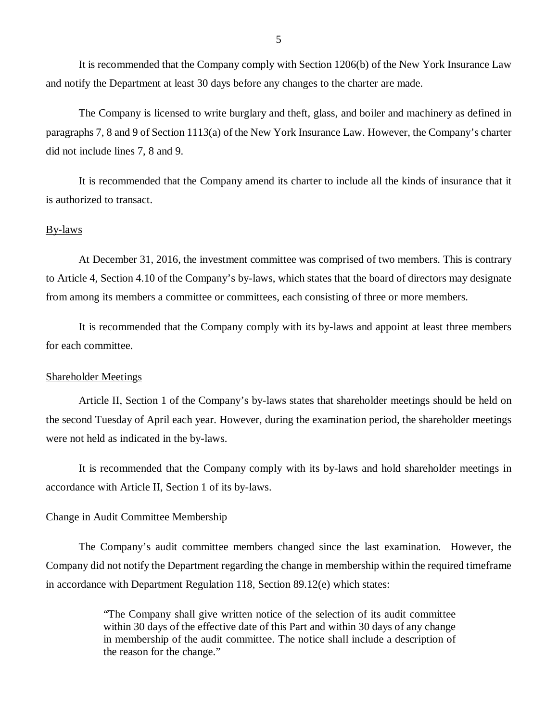It is recommended that the Company comply with Section 1206(b) of the New York Insurance Law and notify the Department at least 30 days before any changes to the charter are made.

The Company is licensed to write burglary and theft, glass, and boiler and machinery as defined in paragraphs 7, 8 and 9 of Section 1113(a) of the New York Insurance Law. However, the Company's charter did not include lines 7, 8 and 9.

It is recommended that the Company amend its charter to include all the kinds of insurance that it is authorized to transact.

#### By-laws

At December 31, 2016, the investment committee was comprised of two members. This is contrary to Article 4, Section 4.10 of the Company's by-laws, which states that the board of directors may designate from among its members a committee or committees, each consisting of three or more members.

It is recommended that the Company comply with its by-laws and appoint at least three members for each committee.

#### Shareholder Meetings

Article II, Section 1 of the Company's by-laws states that shareholder meetings should be held on the second Tuesday of April each year. However, during the examination period, the shareholder meetings were not held as indicated in the by-laws.

It is recommended that the Company comply with its by-laws and hold shareholder meetings in accordance with Article II, Section 1 of its by-laws.

#### Change in Audit Committee Membership

The Company's audit committee members changed since the last examination. However, the Company did not notify the Department regarding the change in membership within the required timeframe in accordance with Department Regulation 118, Section 89.12(e) which states:

> "The Company shall give written notice of the selection of its audit committee within 30 days of the effective date of this Part and within 30 days of any change in membership of the audit committee. The notice shall include a description of the reason for the change."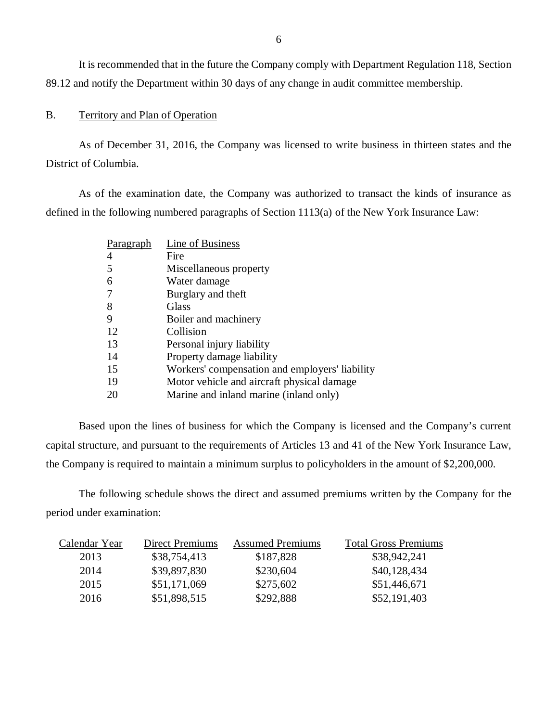It is recommended that in the future the Company comply with Department Regulation 118, Section 89.12 and notify the Department within 30 days of any change in audit committee membership.

## B. Territory and Plan of Operation

As of December 31, 2016, the Company was licensed to write business in thirteen states and the District of Columbia.

As of the examination date, the Company was authorized to transact the kinds of insurance as defined in the following numbered paragraphs of Section 1113(a) of the New York Insurance Law:

| Paragraph | Line of Business                               |
|-----------|------------------------------------------------|
|           | Fire                                           |
| 5         | Miscellaneous property                         |
| 6         | Water damage                                   |
|           | Burglary and theft                             |
| 8         | Glass                                          |
| 9         | Boiler and machinery                           |
| 12        | Collision                                      |
| 13        | Personal injury liability                      |
| 14        | Property damage liability                      |
| 15        | Workers' compensation and employers' liability |
| 19        | Motor vehicle and aircraft physical damage     |
| 20        | Marine and inland marine (inland only)         |

Based upon the lines of business for which the Company is licensed and the Company's current capital structure, and pursuant to the requirements of Articles 13 and 41 of the New York Insurance Law, the Company is required to maintain a minimum surplus to policyholders in the amount of \$2,200,000.

The following schedule shows the direct and assumed premiums written by the Company for the period under examination:

| Calendar Year | <b>Direct Premiums</b> | <b>Assumed Premiums</b> | <b>Total Gross Premiums</b> |
|---------------|------------------------|-------------------------|-----------------------------|
| 2013          | \$38,754,413           | \$187,828               | \$38,942,241                |
| 2014          | \$39,897,830           | \$230,604               | \$40,128,434                |
| 2015          | \$51,171,069           | \$275,602               | \$51,446,671                |
| 2016          | \$51,898,515           | \$292,888               | \$52,191,403                |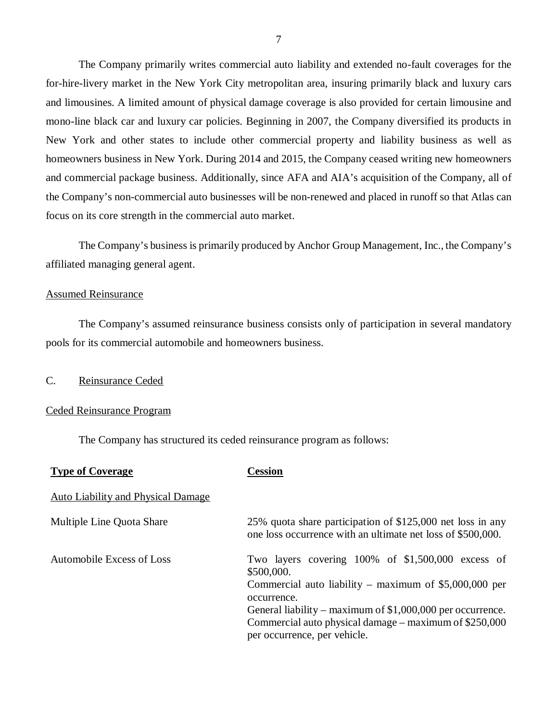The Company primarily writes commercial auto liability and extended no-fault coverages for the for-hire-livery market in the New York City metropolitan area, insuring primarily black and luxury cars and limousines. A limited amount of physical damage coverage is also provided for certain limousine and mono-line black car and luxury car policies. Beginning in 2007, the Company diversified its products in New York and other states to include other commercial property and liability business as well as homeowners business in New York. During 2014 and 2015, the Company ceased writing new homeowners and commercial package business. Additionally, since AFA and AIA's acquisition of the Company, all of the Company's non-commercial auto businesses will be non-renewed and placed in runoff so that Atlas can focus on its core strength in the commercial auto market.

The Company's business is primarily produced by Anchor Group Management, Inc., the Company's affiliated managing general agent.

#### Assumed Reinsurance

The Company's assumed reinsurance business consists only of participation in several mandatory pools for its commercial automobile and homeowners business.

## C. Reinsurance Ceded

#### Ceded Reinsurance Program

The Company has structured its ceded reinsurance program as follows:

| <b>Type of Coverage</b>                   | Cession                                                                                                                                                                                                                                                                                            |
|-------------------------------------------|----------------------------------------------------------------------------------------------------------------------------------------------------------------------------------------------------------------------------------------------------------------------------------------------------|
| <b>Auto Liability and Physical Damage</b> |                                                                                                                                                                                                                                                                                                    |
| Multiple Line Quota Share                 | 25% quota share participation of \$125,000 net loss in any<br>one loss occurrence with an ultimate net loss of \$500,000.                                                                                                                                                                          |
| Automobile Excess of Loss                 | Two layers covering 100% of \$1,500,000 excess of<br>\$500,000.<br>Commercial auto liability – maximum of $$5,000,000$ per<br>occurrence.<br>General liability – maximum of $$1,000,000$ per occurrence.<br>Commercial auto physical damage – maximum of \$250,000<br>per occurrence, per vehicle. |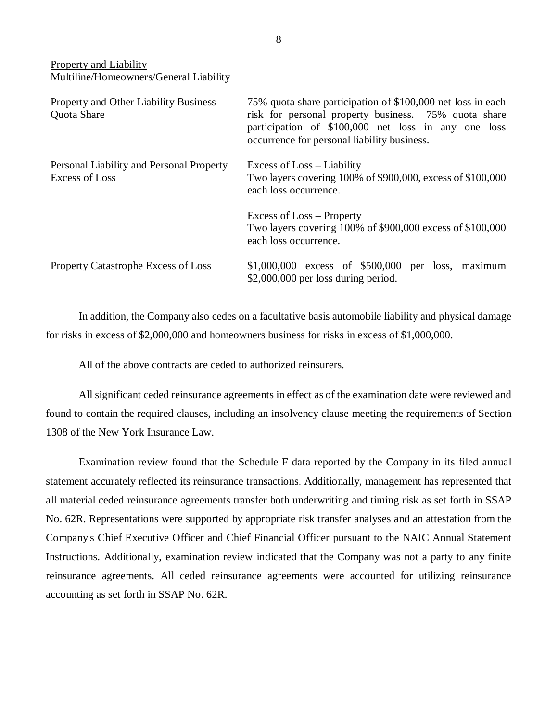Property and Liability Multiline/Homeowners/General Liability

| <b>Property and Other Liability Business</b><br>Quota Share | 75% quota share participation of \$100,000 net loss in each<br>risk for personal property business. 75% quota share<br>participation of \$100,000 net loss in any one loss<br>occurrence for personal liability business. |  |
|-------------------------------------------------------------|---------------------------------------------------------------------------------------------------------------------------------------------------------------------------------------------------------------------------|--|
| Personal Liability and Personal Property<br>Excess of Loss  | Excess of Loss – Liability<br>Two layers covering 100% of \$900,000, excess of \$100,000<br>each loss occurrence.                                                                                                         |  |
|                                                             | Excess of Loss – Property<br>Two layers covering 100% of \$900,000 excess of \$100,000<br>each loss occurrence.                                                                                                           |  |
| <b>Property Catastrophe Excess of Loss</b>                  | $$1,000,000$ excess of $$500,000$ per loss, maximum<br>$$2,000,000$ per loss during period.                                                                                                                               |  |

In addition, the Company also cedes on a facultative basis automobile liability and physical damage for risks in excess of \$2,000,000 and homeowners business for risks in excess of \$1,000,000.

All of the above contracts are ceded to authorized reinsurers.

All significant ceded reinsurance agreements in effect as of the examination date were reviewed and found to contain the required clauses, including an insolvency clause meeting the requirements of Section 1308 of the New York Insurance Law.

Examination review found that the Schedule F data reported by the Company in its filed annual statement accurately reflected its reinsurance transactions. Additionally, management has represented that all material ceded reinsurance agreements transfer both underwriting and timing risk as set forth in SSAP No. 62R. Representations were supported by appropriate risk transfer analyses and an attestation from the Company's Chief Executive Officer and Chief Financial Officer pursuant to the NAIC Annual Statement Instructions. Additionally, examination review indicated that the Company was not a party to any finite reinsurance agreements. All ceded reinsurance agreements were accounted for utilizing reinsurance accounting as set forth in SSAP No. 62R.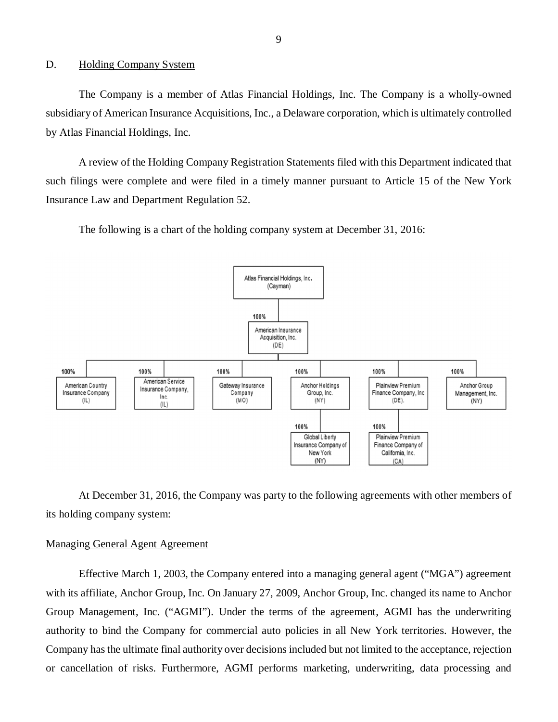#### <span id="page-10-0"></span>D. Holding Company System

The Company is a member of Atlas Financial Holdings, Inc. The Company is a wholly-owned subsidiary of American Insurance Acquisitions, Inc., a Delaware corporation, which is ultimately controlled by Atlas Financial Holdings, Inc.

A review of the Holding Company Registration Statements filed with this Department indicated that such filings were complete and were filed in a timely manner pursuant to Article 15 of the New York Insurance Law and Department Regulation 52.

The following is a chart of the holding company system at December 31, 2016:



At December 31, 2016, the Company was party to the following agreements with other members of its holding company system:

#### Managing General Agent Agreement

Effective March 1, 2003, the Company entered into a managing general agent ("MGA") agreement with its affiliate, Anchor Group, Inc. On January 27, 2009, Anchor Group, Inc. changed its name to Anchor Group Management, Inc. ("AGMI"). Under the terms of the agreement, AGMI has the underwriting authority to bind the Company for commercial auto policies in all New York territories. However, the Company has the ultimate final authority over decisions included but not limited to the acceptance, rejection or cancellation of risks. Furthermore, AGMI performs marketing, underwriting, data processing and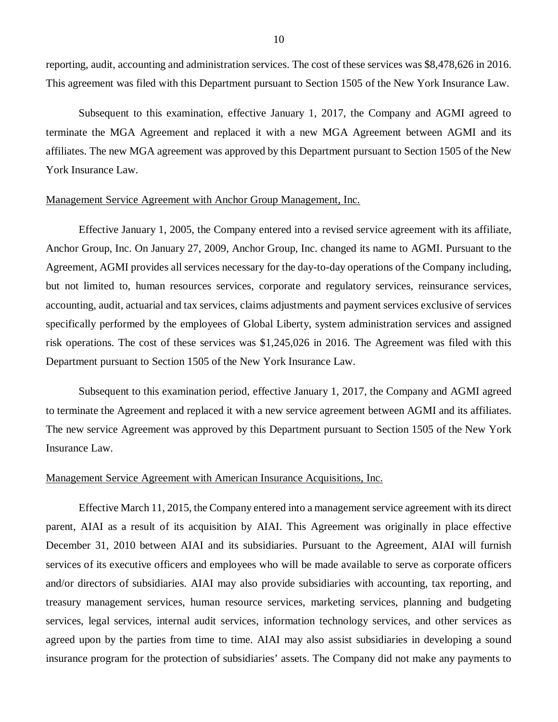reporting, audit, accounting and administration services. The cost of these services was \$8,478,626 in 2016. This agreement was filed with this Department pursuant to Section 1505 of the New York Insurance Law.

Subsequent to this examination, effective January 1, 2017, the Company and AGMI agreed to terminate the MGA Agreement and replaced it with a new MGA Agreement between AGMI and its affiliates. The new MGA agreement was approved by this Department pursuant to Section 1505 of the New York Insurance Law.

## Management Service Agreement with Anchor Group Management, Inc.

Effective January 1, 2005, the Company entered into a revised service agreement with its affiliate, Anchor Group, Inc. On January 27, 2009, Anchor Group, Inc. changed its name to AGMI. Pursuant to the Agreement, AGMI provides all services necessary for the day-to-day operations of the Company including, but not limited to, human resources services, corporate and regulatory services, reinsurance services, accounting, audit, actuarial and tax services, claims adjustments and payment services exclusive of services specifically performed by the employees of Global Liberty, system administration services and assigned risk operations. The cost of these services was \$1,245,026 in 2016. The Agreement was filed with this Department pursuant to Section 1505 of the New York Insurance Law.

Subsequent to this examination period, effective January 1, 2017, the Company and AGMI agreed to terminate the Agreement and replaced it with a new service agreement between AGMI and its affiliates. The new service Agreement was approved by this Department pursuant to Section 1505 of the New York Insurance Law.

#### Management Service Agreement with American Insurance Acquisitions, Inc.

Effective March 11, 2015, the Company entered into a management service agreement with its direct parent, AIAI as a result of its acquisition by AIAI. This Agreement was originally in place effective December 31, 2010 between AIAI and its subsidiaries. Pursuant to the Agreement, AIAI will furnish services of its executive officers and employees who will be made available to serve as corporate officers and/or directors of subsidiaries. AIAI may also provide subsidiaries with accounting, tax reporting, and treasury management services, human resource services, marketing services, planning and budgeting services, legal services, internal audit services, information technology services, and other services as agreed upon by the parties from time to time. AIAI may also assist subsidiaries in developing a sound insurance program for the protection of subsidiaries' assets. The Company did not make any payments to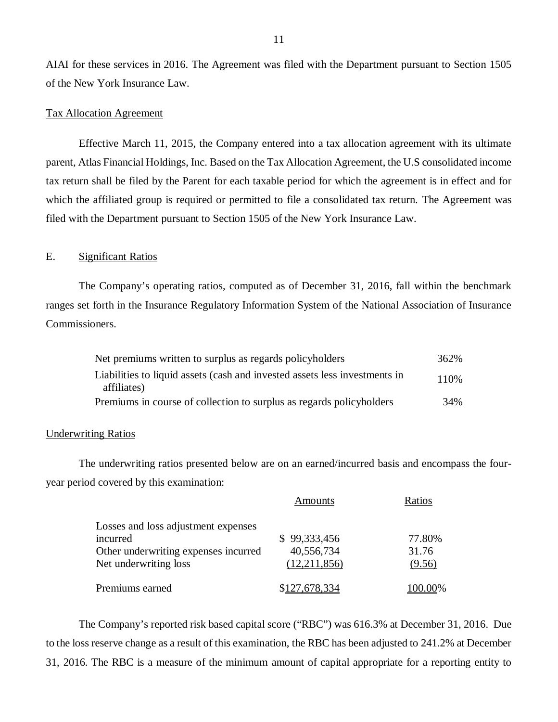AIAI for these services in 2016. The Agreement was filed with the Department pursuant to Section 1505 of the New York Insurance Law.

#### Tax Allocation Agreement

Effective March 11, 2015, the Company entered into a tax allocation agreement with its ultimate parent, Atlas Financial Holdings, Inc. Based on the Tax Allocation Agreement, the U.S consolidated income tax return shall be filed by the Parent for each taxable period for which the agreement is in effect and for which the affiliated group is required or permitted to file a consolidated tax return. The Agreement was filed with the Department pursuant to Section 1505 of the New York Insurance Law.

### E. Significant Ratios

The Company's operating ratios, computed as of December 31, 2016, fall within the benchmark ranges set forth in the Insurance Regulatory Information System of the National Association of Insurance Commissioners.

| Net premiums written to surplus as regards policyholders                                  | 362%  |
|-------------------------------------------------------------------------------------------|-------|
| Liabilities to liquid assets (cash and invested assets less investments in<br>affiliates) | 110\% |
| Premiums in course of collection to surplus as regards policyholders                      | 34%   |

#### Underwriting Ratios

The underwriting ratios presented below are on an earned/incurred basis and encompass the fouryear period covered by this examination:

|                                      | Amounts       | Ratios |
|--------------------------------------|---------------|--------|
| Losses and loss adjustment expenses  |               |        |
| incurred                             | \$99,333,456  | 77.80% |
| Other underwriting expenses incurred | 40,556,734    | 31.76  |
| Net underwriting loss                | (12,211,856)  | (9.56) |
| Premiums earned                      | \$127,678,334 | JO 00% |

The Company's reported risk based capital score ("RBC") was 616.3% at December 31, 2016. Due to the loss reserve change as a result of this examination, the RBC has been adjusted to 241.2% at December 31, 2016. The RBC is a measure of the minimum amount of capital appropriate for a reporting entity to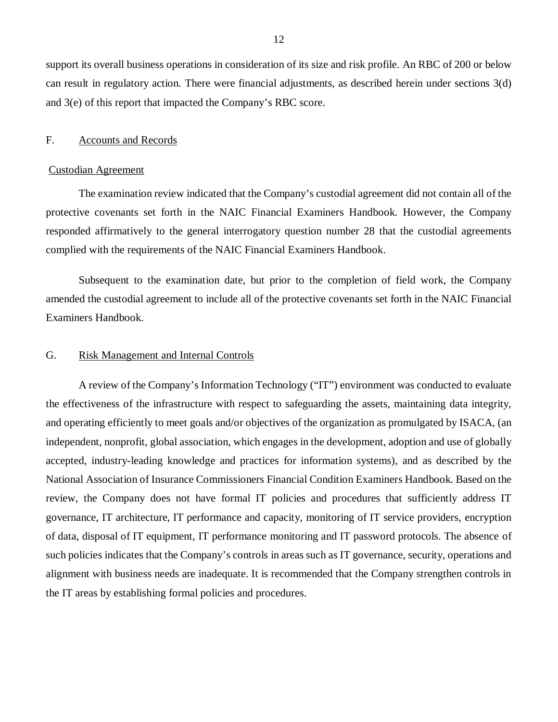<span id="page-13-0"></span>support its overall business operations in consideration of its size and risk profile. An RBC of 200 or below can result in regulatory action. There were financial adjustments, as described herein under sections 3(d) and 3(e) of this report that impacted the Company's RBC score.

#### F. Accounts and Records

#### Custodian Agreement

The examination review indicated that the Company's custodial agreement did not contain all of the protective covenants set forth in the NAIC Financial Examiners Handbook. However, the Company responded affirmatively to the general interrogatory question number 28 that the custodial agreements complied with the requirements of the NAIC Financial Examiners Handbook.

Subsequent to the examination date, but prior to the completion of field work, the Company amended the custodial agreement to include all of the protective covenants set forth in the NAIC Financial Examiners Handbook.

#### G. Risk Management and Internal Controls

A review of the Company's Information Technology ("IT") environment was conducted to evaluate the effectiveness of the infrastructure with respect to safeguarding the assets, maintaining data integrity, and operating efficiently to meet goals and/or objectives of the organization as promulgated by ISACA, (an independent, nonprofit, global association, which engages in the development, adoption and use of globally accepted, industry-leading knowledge and practices for information systems), and as described by the National Association of Insurance Commissioners Financial Condition Examiners Handbook. Based on the review, the Company does not have formal IT policies and procedures that sufficiently address IT governance, IT architecture, IT performance and capacity, monitoring of IT service providers, encryption of data, disposal of IT equipment, IT performance monitoring and IT password protocols. The absence of such policies indicates that the Company's controls in areas such as IT governance, security, operations and alignment with business needs are inadequate. It is recommended that the Company strengthen controls in the IT areas by establishing formal policies and procedures.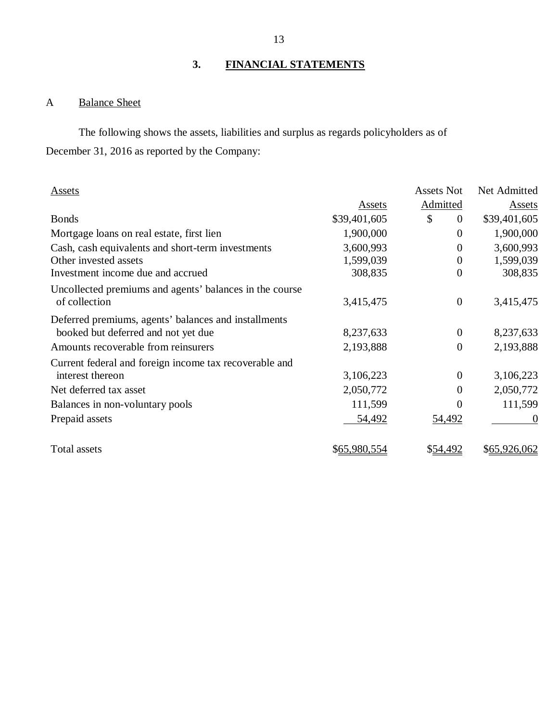## **3. FINANCIAL STATEMENTS**

## A Balance Sheet

The following shows the assets, liabilities and surplus as regards policyholders as of December 31, 2016 as reported by the Company:

| <b>Assets</b>                                           |              | Assets Not           | Net Admitted |
|---------------------------------------------------------|--------------|----------------------|--------------|
|                                                         | Assets       | <b>Admitted</b>      | Assets       |
| <b>Bonds</b>                                            | \$39,401,605 | \$<br>$\overline{0}$ | \$39,401,605 |
| Mortgage loans on real estate, first lien               | 1,900,000    | $\overline{0}$       | 1,900,000    |
| Cash, cash equivalents and short-term investments       | 3,600,993    | $\overline{0}$       | 3,600,993    |
| Other invested assets                                   | 1,599,039    | $\boldsymbol{0}$     | 1,599,039    |
| Investment income due and accrued                       | 308,835      | $\boldsymbol{0}$     | 308,835      |
| Uncollected premiums and agents' balances in the course |              |                      |              |
| of collection                                           | 3,415,475    | $\boldsymbol{0}$     | 3,415,475    |
| Deferred premiums, agents' balances and installments    |              |                      |              |
| booked but deferred and not yet due                     | 8,237,633    | $\overline{0}$       | 8,237,633    |
| Amounts recoverable from reinsurers                     | 2,193,888    | $\boldsymbol{0}$     | 2,193,888    |
| Current federal and foreign income tax recoverable and  |              |                      |              |
| interest thereon                                        | 3,106,223    | $\overline{0}$       | 3,106,223    |
| Net deferred tax asset                                  | 2,050,772    | $\theta$             | 2,050,772    |
| Balances in non-voluntary pools                         | 111,599      | $\theta$             | 111,599      |
| Prepaid assets                                          | 54,492       | 54,492               | $\theta$     |
| Total assets                                            | \$65,980,554 | \$54,492             | \$65,926,062 |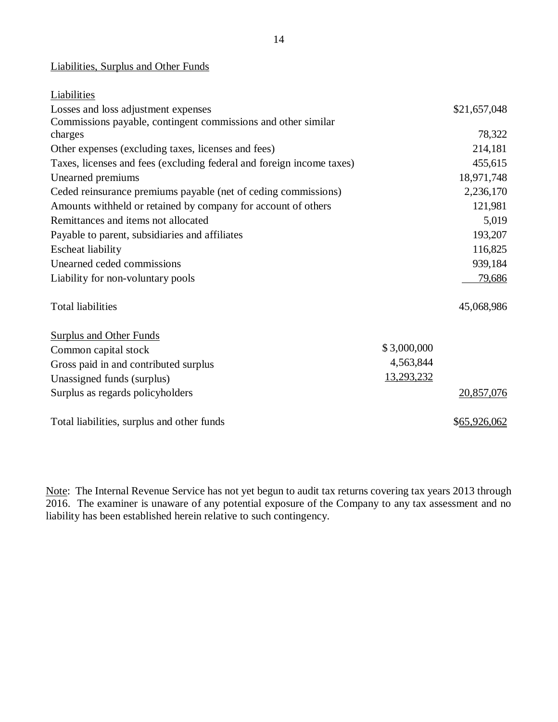## Liabilities, Surplus and Other Funds

| Liabilities                                                           |             |              |
|-----------------------------------------------------------------------|-------------|--------------|
| Losses and loss adjustment expenses                                   |             | \$21,657,048 |
| Commissions payable, contingent commissions and other similar         |             |              |
| charges                                                               |             | 78,322       |
| Other expenses (excluding taxes, licenses and fees)                   |             | 214,181      |
| Taxes, licenses and fees (excluding federal and foreign income taxes) |             | 455,615      |
| Unearned premiums                                                     |             | 18,971,748   |
| Ceded reinsurance premiums payable (net of ceding commissions)        |             | 2,236,170    |
| Amounts withheld or retained by company for account of others         |             | 121,981      |
| Remittances and items not allocated                                   |             | 5,019        |
| Payable to parent, subsidiaries and affiliates                        |             | 193,207      |
| <b>Escheat liability</b>                                              |             | 116,825      |
| Unearned ceded commissions                                            |             | 939,184      |
| Liability for non-voluntary pools                                     |             | 79,686       |
| <b>Total liabilities</b>                                              |             | 45,068,986   |
| <b>Surplus and Other Funds</b>                                        |             |              |
| Common capital stock                                                  | \$3,000,000 |              |
| Gross paid in and contributed surplus                                 | 4,563,844   |              |
| Unassigned funds (surplus)                                            | 13,293,232  |              |
| Surplus as regards policyholders                                      |             | 20,857,076   |
| Total liabilities, surplus and other funds                            |             | \$65,926,062 |

Note: The Internal Revenue Service has not yet begun to audit tax returns covering tax years 2013 through 2016. The examiner is unaware of any potential exposure of the Company to any tax assessment and no liability has been established herein relative to such contingency.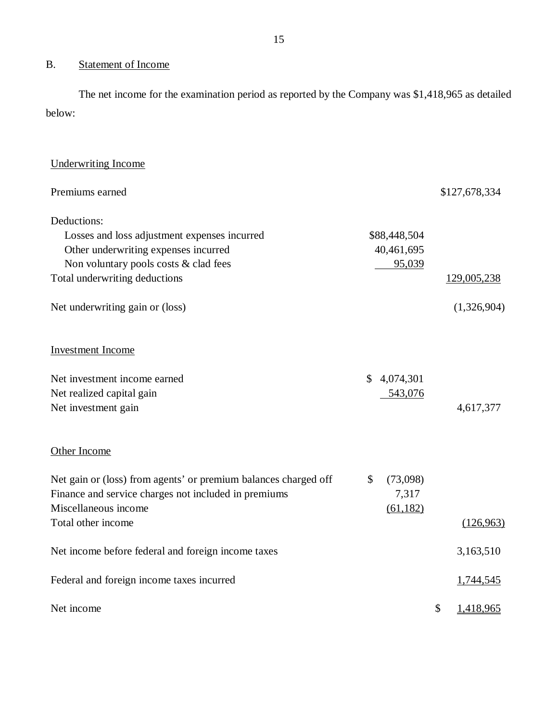## B. Statement of Income

The net income for the examination period as reported by the Company was \$1,418,965 as detailed below:

| <b>Underwriting Income</b>                                      |                |                 |  |
|-----------------------------------------------------------------|----------------|-----------------|--|
| Premiums earned                                                 |                | \$127,678,334   |  |
| Deductions:                                                     |                |                 |  |
| Losses and loss adjustment expenses incurred                    | \$88,448,504   |                 |  |
| Other underwriting expenses incurred                            | 40,461,695     |                 |  |
| Non voluntary pools costs & clad fees                           | 95,039         |                 |  |
| Total underwriting deductions                                   |                | 129,005,238     |  |
| Net underwriting gain or (loss)                                 |                | (1,326,904)     |  |
| <b>Investment Income</b>                                        |                |                 |  |
| Net investment income earned                                    | \$4,074,301    |                 |  |
| Net realized capital gain                                       | 543,076        |                 |  |
| Net investment gain                                             |                | 4,617,377       |  |
| Other Income                                                    |                |                 |  |
| Net gain or (loss) from agents' or premium balances charged off | \$<br>(73,098) |                 |  |
| Finance and service charges not included in premiums            | 7,317          |                 |  |
| Miscellaneous income                                            | (61, 182)      |                 |  |
| Total other income                                              |                | (126,963)       |  |
| Net income before federal and foreign income taxes              |                | 3,163,510       |  |
| Federal and foreign income taxes incurred                       |                | 1,744,545       |  |
| Net income                                                      |                | \$<br>1,418,965 |  |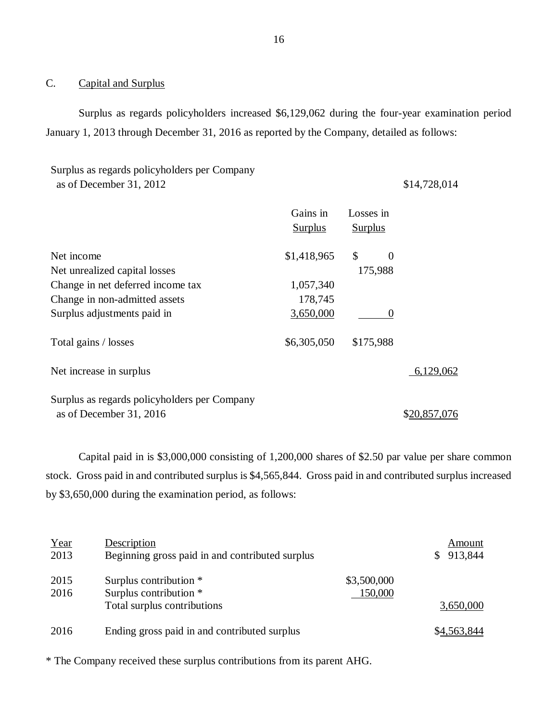## C. Capital and Surplus

Surplus as regards policyholders increased \$6,129,062 during the four-year examination period January 1, 2013 through December 31, 2016 as reported by the Company, detailed as follows:

| Surplus as regards policyholders per Company |              |
|----------------------------------------------|--------------|
| as of December 31, 2012                      | \$14,728,014 |

|                                              | Gains in<br><b>Surplus</b> | Losses in<br><b>Surplus</b>           |              |
|----------------------------------------------|----------------------------|---------------------------------------|--------------|
| Net income                                   | \$1,418,965                | $\boldsymbol{\mathsf{S}}$<br>$\theta$ |              |
| Net unrealized capital losses                |                            | 175,988                               |              |
| Change in net deferred income tax            | 1,057,340                  |                                       |              |
| Change in non-admitted assets                | 178,745                    |                                       |              |
| Surplus adjustments paid in                  | 3,650,000                  |                                       |              |
| Total gains / losses                         | \$6,305,050                | \$175,988                             |              |
| Net increase in surplus                      |                            |                                       | 6,129,062    |
| Surplus as regards policyholders per Company |                            |                                       |              |
| as of December 31, 2016                      |                            |                                       | \$20,857,076 |

Capital paid in is \$3,000,000 consisting of 1,200,000 shares of \$2.50 par value per share common stock. Gross paid in and contributed surplus is \$4,565,844. Gross paid in and contributed surplus increased by \$3,650,000 during the examination period, as follows:

| Year<br>2013 | Description<br>Beginning gross paid in and contributed surplus                  | Amount<br>913,844<br>S.             |
|--------------|---------------------------------------------------------------------------------|-------------------------------------|
| 2015<br>2016 | Surplus contribution *<br>Surplus contribution *<br>Total surplus contributions | \$3,500,000<br>150,000<br>3,650,000 |
| 2016         | Ending gross paid in and contributed surplus                                    | \$4,563,844                         |

\* The Company received these surplus contributions from its parent AHG.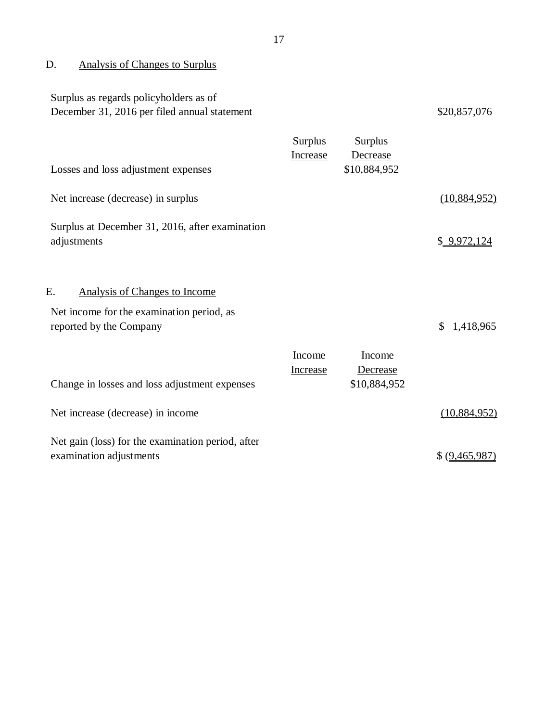## <span id="page-18-0"></span>D. Analysis of Changes to Surplus

| Surplus as regards policyholders as of<br>December 31, 2016 per filed annual statement                                                                              |                     |                                            | \$20,857,076    |
|---------------------------------------------------------------------------------------------------------------------------------------------------------------------|---------------------|--------------------------------------------|-----------------|
| Losses and loss adjustment expenses                                                                                                                                 | Surplus<br>Increase | <b>Surplus</b><br>Decrease<br>\$10,884,952 |                 |
| Net increase (decrease) in surplus                                                                                                                                  |                     |                                            | (10,884,952)    |
| Surplus at December 31, 2016, after examination<br>adjustments                                                                                                      |                     |                                            | \$ 9,972,124    |
| E.<br><b>Analysis of Changes to Income</b><br>Net income for the examination period, as<br>reported by the Company<br>Change in losses and loss adjustment expenses | Income<br>Increase  | Income<br>Decrease<br>\$10,884,952         | \$<br>1,418,965 |
| Net increase (decrease) in income                                                                                                                                   |                     |                                            | (10,884,952)    |
| Net gain (loss) for the examination period, after<br>examination adjustments                                                                                        |                     |                                            | \$ (9,465,987)  |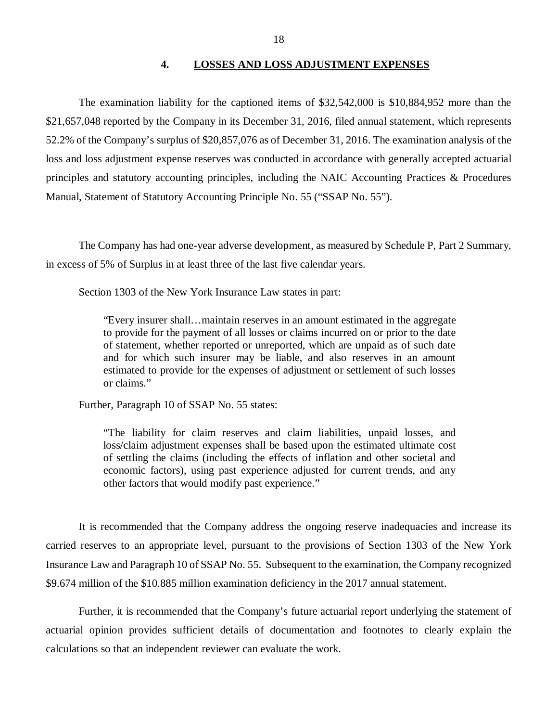#### **4. LOSSES AND LOSS ADJUSTMENT EXPENSES**

<span id="page-19-0"></span>The examination liability for the captioned items of \$32,542,000 is \$10,884,952 more than the \$21,657,048 reported by the Company in its December 31, 2016, filed annual statement, which represents 52.2% of the Company's surplus of \$20,857,076 as of December 31, 2016. The examination analysis of the loss and loss adjustment expense reserves was conducted in accordance with generally accepted actuarial principles and statutory accounting principles, including the NAIC Accounting Practices & Procedures Manual, Statement of Statutory Accounting Principle No. 55 ("SSAP No. 55").

The Company has had one-year adverse development, as measured by Schedule P, Part 2 Summary, in excess of 5% of Surplus in at least three of the last five calendar years.

Section 1303 of the New York Insurance Law states in part:

"Every insurer shall…maintain reserves in an amount estimated in the aggregate to provide for the payment of all losses or claims incurred on or prior to the date of statement, whether reported or unreported, which are unpaid as of such date and for which such insurer may be liable, and also reserves in an amount estimated to provide for the expenses of adjustment or settlement of such losses or claims."

Further, Paragraph 10 of SSAP No. 55 states:

"The liability for claim reserves and claim liabilities, unpaid losses, and loss/claim adjustment expenses shall be based upon the estimated ultimate cost of settling the claims (including the effects of inflation and other societal and economic factors), using past experience adjusted for current trends, and any other factors that would modify past experience."

It is recommended that the Company address the ongoing reserve inadequacies and increase its carried reserves to an appropriate level, pursuant to the provisions of Section 1303 of the New York Insurance Law and Paragraph 10 of SSAP No. 55. Subsequent to the examination, the Company recognized \$9.674 million of the \$10.885 million examination deficiency in the 2017 annual statement.

Further, it is recommended that the Company's future actuarial report underlying the statement of actuarial opinion provides sufficient details of documentation and footnotes to clearly explain the calculations so that an independent reviewer can evaluate the work.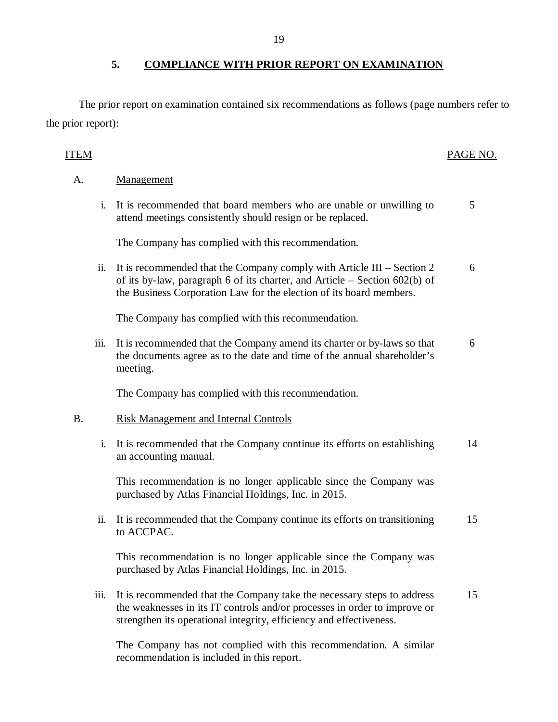The prior report on examination contained six recommendations as follows (page numbers refer to the prior report):

## ITEM PAGE NO.

## A. Management

i. It is recommended that board members who are unable or unwilling to attend meetings consistently should resign or be replaced. 5

The Company has complied with this recommendation.

ii. It is recommended that the Company comply with Article III – Section 2 of its by-law, paragraph 6 of its charter, and Article – Section 602(b) of the Business Corporation Law for the election of its board members. 6

The Company has complied with this recommendation.

iii. It is recommended that the Company amend its charter or by-laws so that the documents agree as to the date and time of the annual shareholder's meeting. 6

The Company has complied with this recommendation.

## B. Risk Management and Internal Controls

i. It is recommended that the Company continue its efforts on establishing an accounting manual. 14

This recommendation is no longer applicable since the Company was purchased by Atlas Financial Holdings, Inc. in 2015.

ii. It is recommended that the Company continue its efforts on transitioning to ACCPAC. 15

This recommendation is no longer applicable since the Company was purchased by Atlas Financial Holdings, Inc. in 2015.

iii. It is recommended that the Company take the necessary steps to address the weaknesses in its IT controls and/or processes in order to improve or strengthen its operational integrity, efficiency and effectiveness. 15

The Company has not complied with this recommendation. A similar recommendation is included in this report.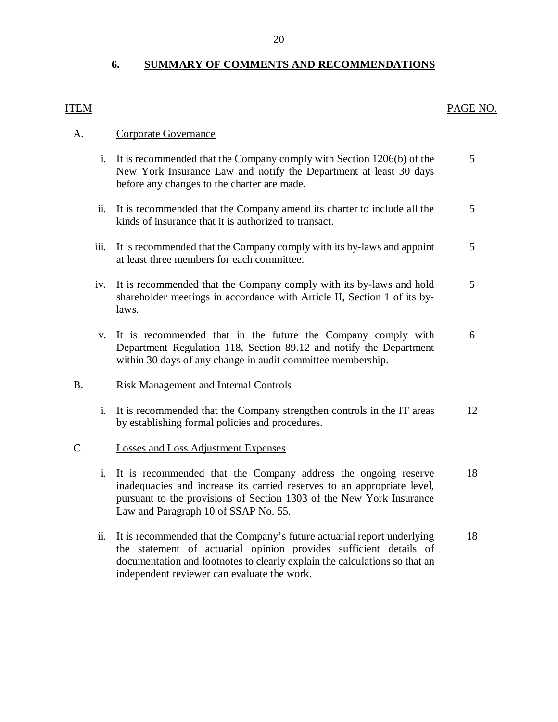## **6. SUMMARY OF COMMENTS AND RECOMMENDATIONS**

## <span id="page-21-0"></span>ITEM PAGE NO.

## A. Corporate Governance

- i. It is recommended that the Company comply with Section 1206(b) of the 5 New York Insurance Law and notify the Department at least 30 days before any changes to the charter are made.
- ii. It is recommended that the Company amend its charter to include all the 5 kinds of insurance that it is authorized to transact.
- iii. It is recommended that the Company comply with its by-laws and appoint 5 at least three members for each committee.
- iv. It is recommended that the Company comply with its by-laws and hold 5 shareholder meetings in accordance with Article II, Section 1 of its bylaws.
- v. It is recommended that in the future the Company comply with 6 Department Regulation 118, Section 89.12 and notify the Department within 30 days of any change in audit committee membership.

## B. Risk Management and Internal Controls

i. It is recommended that the Company strengthen controls in the IT areas 12 by establishing formal policies and procedures.

## C. Losses and Loss Adjustment Expenses

- i. It is recommended that the Company address the ongoing reserve 18 inadequacies and increase its carried reserves to an appropriate level, pursuant to the provisions of Section 1303 of the New York Insurance Law and Paragraph 10 of SSAP No. 55.
- ii. It is recommended that the Company's future actuarial report underlying 18 the statement of actuarial opinion provides sufficient details of documentation and footnotes to clearly explain the calculations so that an independent reviewer can evaluate the work.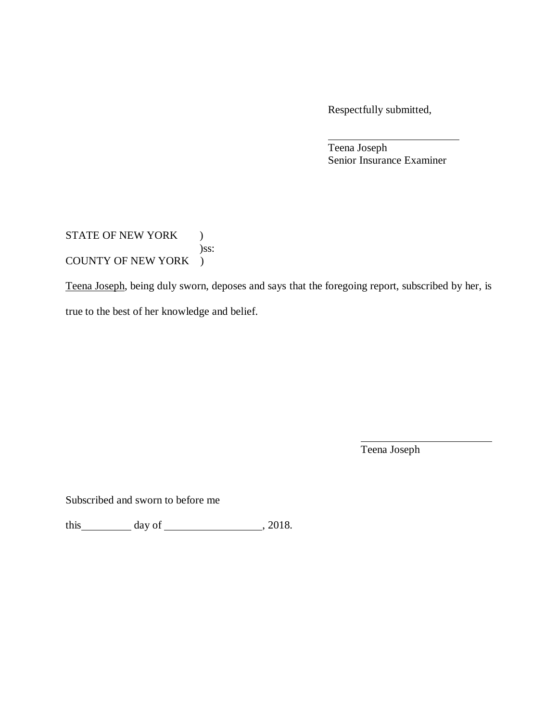Respectfully submitted,

Teena Joseph Senior Insurance Examiner

## STATE OF NEW YORK ) )ss: COUNTY OF NEW YORK )

Teena Joseph, being duly sworn, deposes and says that the foregoing report, subscribed by her, is true to the best of her knowledge and belief.

Teena Joseph

Subscribed and sworn to before me

this day of , 2018.